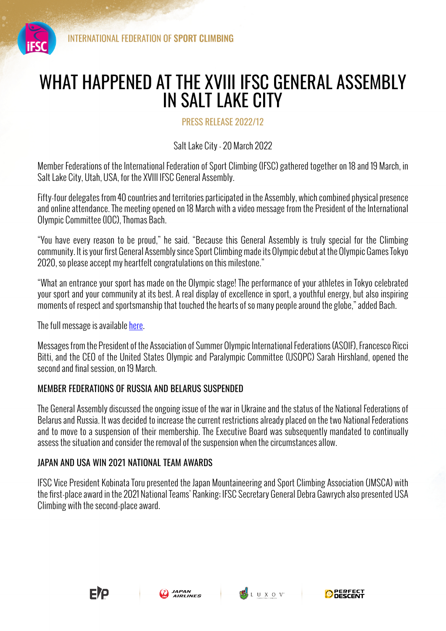

# WHAT HAPPENED AT THE XVIII IFSC GENERAL ASSEMBLY IN SALT LAKE CITY

PRESS RELEASE 2022/12

Salt Lake City - 20 March 2022

Member Federations of the International Federation of Sport Climbing (IFSC) gathered together on 18 and 19 March, in Salt Lake City, Utah, USA, for the XVIII IFSC General Assembly.

Fifty-four delegates from 40 countries and territories participated in the Assembly, which combined physical presence and online attendance. The meeting opened on 18 March with a video message from the President of the International Olympic Committee (IOC), Thomas Bach.

"You have every reason to be proud," he said. "Because this General Assembly is truly special for the Climbing community. It is your first General Assembly since Sport Climbing made its Olympic debut at the Olympic Games Tokyo 2020, so please accept my heartfelt congratulations on this milestone."

"What an entrance your sport has made on the Olympic stage! The performance of your athletes in Tokyo celebrated your sport and your community at its best. A real display of excellence in sport, a youthful energy, but also inspiring moments of respect and sportsmanship that touched the hearts of so many people around the globe," added Bach.

The full message is available here.

Messages from the President of the Association of Summer Olympic International Federations (ASOIF), Francesco Ricci Bitti, and the CEO of the United States Olympic and Paralympic Committee (USOPC) Sarah Hirshland, opened the second and final session, on 19 March.

# MEMBER FEDERATIONS OF RUSSIA AND BELARUS SUSPENDED

The General Assembly discussed the ongoing issue of the war in Ukraine and the status of the National Federations of Belarus and Russia. It was decided to increase the current restrictions already placed on the two National Federations and to move to a suspension of their membership. The Executive Board was subsequently mandated to continually assess the situation and consider the removal of the suspension when the circumstances allow.

## JAPAN AND USA WIN 2021 NATIONAL TEAM AWARDS

IFSC Vice President Kobinata Toru presented the Japan Mountaineering and Sport Climbing Association (JMSCA) with the first-place award in the 2021 National Teams' Ranking; IFSC Secretary General Debra Gawrych also presented USA Climbing with the second-place award.





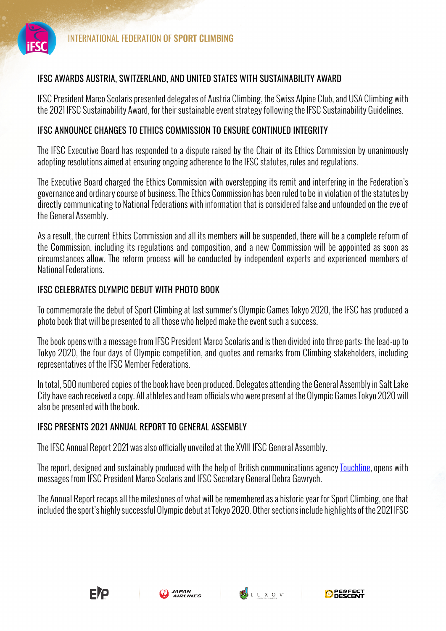

## IFSC AWARDS AUSTRIA, SWITZERLAND, AND UNITED STATES WITH SUSTAINABILITY AWARD

IFSC President Marco Scolaris presented delegates of Austria Climbing, the Swiss Alpine Club, and USA Climbing with the 2021 IFSC Sustainability Award, for their sustainable event strategy following the IFSC Sustainability Guidelines.

#### IFSC ANNOUNCE CHANGES TO ETHICS COMMISSION TO ENSURE CONTINUED INTEGRITY

The IFSC Executive Board has responded to a dispute raised by the Chair of its Ethics Commission by unanimously adopting resolutions aimed at ensuring ongoing adherence to the IFSC statutes, rules and regulations.

The Executive Board charged the Ethics Commission with overstepping its remit and interfering in the Federation's governance and ordinary course of business. The Ethics Commission has been ruled to be in violation of the statutes by directly communicating to National Federations with information that is considered false and unfounded on the eve of the General Assembly.

As a result, the current Ethics Commission and all its members will be suspended, there will be a complete reform of the Commission, including its regulations and composition, and a new Commission will be appointed as soon as circumstances allow. The reform process will be conducted by independent experts and experienced members of National Federations.

#### IFSC CELEBRATES OLYMPIC DEBUT WITH PHOTO BOOK

To commemorate the debut of Sport Climbing at last summer's Olympic Games Tokyo 2020, the IFSC has produced a photo book that will be presented to all those who helped make the event such a success.

The book opens with a message from IFSC President Marco Scolaris and is then divided into three parts: the lead-up to Tokyo 2020, the four days of Olympic competition, and quotes and remarks from Climbing stakeholders, including representatives of the IFSC Member Federations.

In total, 500 numbered copies of the book have been produced. Delegates attending the General Assembly in Salt Lake City have each received a copy. All athletes and team officials who were present at the Olympic Games Tokyo 2020 will also be presented with the book.

## IFSC PRESENTS 2021 ANNUAL REPORT TO GENERAL ASSEMBLY

The IFSC Annual Report 2021 was also officially unveiled at the XVIII IFSC General Assembly.

The report, designed and sustainably produced with the help of British communications agency Touchline, opens with messages from IFSC President Marco Scolaris and IFSC Secretary General Debra Gawrych.

The Annual Report recaps all the milestones of what will be remembered as a historic year for Sport Climbing, one that included the sport's highly successful Olympic debut at Tokyo 2020. Other sections include highlights of the 2021 IFSC